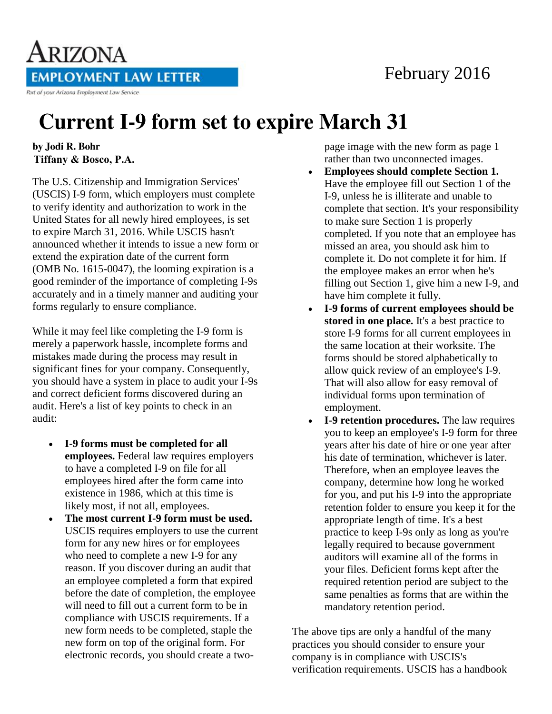## February 2016

ARIZONA **EMPLOYMENT LAW LETTER** Part of your Arizona Employment Law Service

## **Current I-9 form set to expire March 31**

by Jodi R. Bohr **Tiffany & Bosco, P.A.**

The U.S. Citizenship and Immigration Services' (USCIS) I-9 form, which employers must complete to verify identity and authorization to work in the United States for all newly hired employees, is set to expire March 31, 2016. While USCIS hasn't announced whether it intends to issue a new form or extend the expiration date of the current form (OMB No. 1615-0047), the looming expiration is a good reminder of the importance of completing I-9s accurately and in a timely manner and auditing your forms regularly to ensure compliance.

While it may feel like completing the I-9 form is merely a paperwork hassle, incomplete forms and mistakes made during the process may result in significant fines for your company. Consequently, you should have a system in place to audit your I-9s and correct deficient forms discovered during an audit. Here's a list of key points to check in an audit:

- **I-9 forms must be completed for all employees.** Federal law requires employers to have a completed I-9 on file for all employees hired after the form came into existence in 1986, which at this time is likely most, if not all, employees.
- **The most current I-9 form must be used.** USCIS requires employers to use the current form for any new hires or for employees who need to complete a new I-9 for any reason. If you discover during an audit that an employee completed a form that expired before the date of completion, the employee will need to fill out a current form to be in compliance with USCIS requirements. If a new form needs to be completed, staple the new form on top of the original form. For electronic records, you should create a two-

page image with the new form as page 1 rather than two unconnected images.

- **Employees should complete Section 1.** Have the employee fill out Section 1 of the I-9, unless he is illiterate and unable to complete that section. It's your responsibility to make sure Section 1 is properly completed. If you note that an employee has missed an area, you should ask him to complete it. Do not complete it for him. If the employee makes an error when he's filling out Section 1, give him a new I-9, and have him complete it fully.
- **I-9 forms of current employees should be stored in one place.** It's a best practice to store I-9 forms for all current employees in the same location at their worksite. The forms should be stored alphabetically to allow quick review of an employee's I-9. That will also allow for easy removal of individual forms upon termination of employment.
- **I-9 retention procedures.** The law requires you to keep an employee's I-9 form for three years after his date of hire or one year after his date of termination, whichever is later. Therefore, when an employee leaves the company, determine how long he worked for you, and put his I-9 into the appropriate retention folder to ensure you keep it for the appropriate length of time. It's a best practice to keep I-9s only as long as you're legally required to because government auditors will examine all of the forms in your files. Deficient forms kept after the required retention period are subject to the same penalties as forms that are within the mandatory retention period.

The above tips are only a handful of the many practices you should consider to ensure your company is in compliance with USCIS's verification requirements. USCIS has a handbook